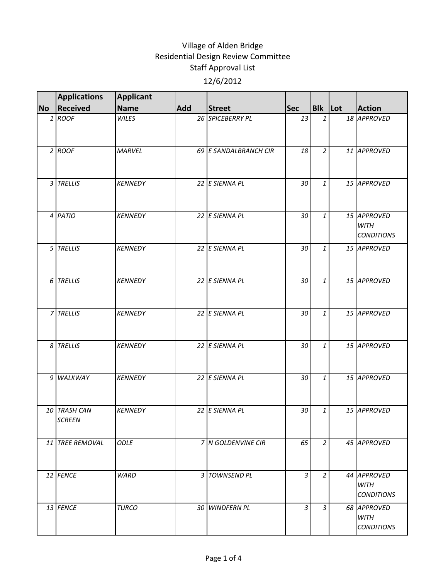|           | <b>Applications</b>           | <b>Applicant</b> |            |                       |            |                |                                                 |
|-----------|-------------------------------|------------------|------------|-----------------------|------------|----------------|-------------------------------------------------|
| <b>No</b> | <b>Received</b>               | <b>Name</b>      | <b>Add</b> | <b>Street</b>         | <b>Sec</b> | Blk Lot        | <b>Action</b>                                   |
|           | 1 ROOF                        | <b>WILES</b>     |            | 26 SPICEBERRY PL      | 13         | $\mathbf{1}$   | 18 APPROVED                                     |
|           | $2$ ROOF                      | <b>MARVEL</b>    |            | 69 E SANDALBRANCH CIR | 18         | $\overline{2}$ | 11 APPROVED                                     |
|           | 3 TRELLIS                     | <b>KENNEDY</b>   |            | 22 E SIENNA PL        | 30         | $\mathbf{1}$   | 15 APPROVED                                     |
|           | 4 PATIO                       | <b>KENNEDY</b>   |            | 22 E SIENNA PL        | 30         | $\mathbf{1}$   | 15 APPROVED<br><b>WITH</b><br><b>CONDITIONS</b> |
|           | 5 TRELLIS                     | <b>KENNEDY</b>   |            | 22 E SIENNA PL        | 30         | $\mathbf{1}$   | 15 APPROVED                                     |
|           | 6 TRELLIS                     | <b>KENNEDY</b>   |            | 22 E SIENNA PL        | 30         | $\mathbf{1}$   | 15 APPROVED                                     |
|           | 7 TRELLIS                     | <b>KENNEDY</b>   |            | 22 E SIENNA PL        | 30         | $\mathbf{1}$   | 15 APPROVED                                     |
|           | 8 TRELLIS                     | <b>KENNEDY</b>   |            | 22 E SIENNA PL        | 30         | $\mathbf{1}$   | 15 APPROVED                                     |
|           | 9 WALKWAY                     | <b>KENNEDY</b>   |            | 22 E SIENNA PL        | 30         | $\mathbf{1}$   | 15 APPROVED                                     |
|           | 10 TRASH CAN<br><b>SCREEN</b> | <b>KENNEDY</b>   |            | 22 E SIENNA PL        | 30         | $\mathbf{1}$   | 15 APPROVED                                     |
|           | 11 TREE REMOVAL               | <b>ODLE</b>      |            | 7 N GOLDENVINE CIR    | 65         | $\overline{2}$ | 45 APPROVED                                     |
|           | 12 FENCE                      | <b>WARD</b>      |            | 3 TOWNSEND PL         | 3          | $\overline{2}$ | 44 APPROVED<br><b>WITH</b><br><b>CONDITIONS</b> |
|           | 13 FENCE                      | <b>TURCO</b>     |            | 30 WINDFERN PL        | 3          | $\mathfrak{Z}$ | 68 APPROVED<br><b>WITH</b><br><b>CONDITIONS</b> |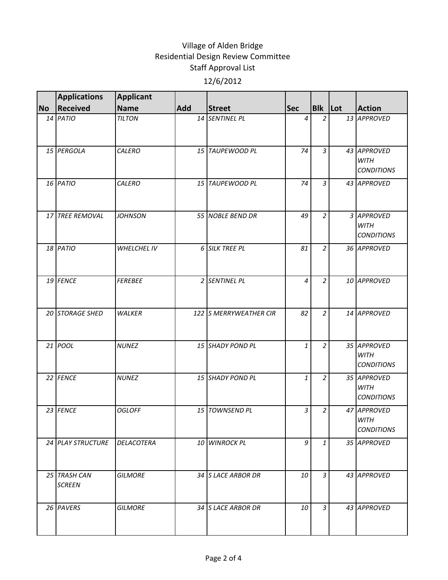|           | <b>Applications</b>           | <b>Applicant</b>   |            |                        |            |                |                                                 |
|-----------|-------------------------------|--------------------|------------|------------------------|------------|----------------|-------------------------------------------------|
| <b>No</b> | <b>Received</b>               | <b>Name</b>        | <b>Add</b> | <b>Street</b>          | <b>Sec</b> | Blk Lot        | <b>Action</b>                                   |
|           | 14 PATIO                      | <b>TILTON</b>      |            | 14 SENTINEL PL         | 4          | $\overline{a}$ | 13 APPROVED                                     |
|           | 15 PERGOLA                    | CALERO             |            | 15 TAUPEWOOD PL        | 74         | $\overline{3}$ | 43 APPROVED<br><b>WITH</b><br><b>CONDITIONS</b> |
|           | 16 PATIO                      | CALERO             |            | 15 TAUPEWOOD PL        | 74         | $\overline{3}$ | 43 APPROVED                                     |
|           | 17 TREE REMOVAL               | <b>JOHNSON</b>     |            | 55 NOBLE BEND DR       | 49         | $\overline{a}$ | 3 APPROVED<br><b>WITH</b><br><b>CONDITIONS</b>  |
|           | 18 PATIO                      | <b>WHELCHEL IV</b> |            | 6 SILK TREE PL         | 81         | $\overline{a}$ | 36 APPROVED                                     |
|           | 19 FENCE                      | <b>FEREBEE</b>     |            | 2 SENTINEL PL          | 4          | $\overline{2}$ | 10 APPROVED                                     |
|           | 20 STORAGE SHED               | <b>WALKER</b>      |            | 122 S MERRYWEATHER CIR | 82         | $\overline{a}$ | 14 APPROVED                                     |
|           | 21 POOL                       | <b>NUNEZ</b>       |            | 15 SHADY POND PL       | 1          | $\overline{a}$ | 35 APPROVED<br><b>WITH</b><br><b>CONDITIONS</b> |
|           | 22 FENCE                      | <b>NUNEZ</b>       |            | 15 SHADY POND PL       | 1          | $\overline{a}$ | 35 APPROVED<br><b>WITH</b><br><b>CONDITIONS</b> |
|           | 23 FENCE                      | <b>OGLOFF</b>      |            | 15 TOWNSEND PL         | 3          | $\overline{a}$ | 47 APPROVED<br><b>WITH</b><br><b>CONDITIONS</b> |
|           | 24 PLAY STRUCTURE             | <b>DELACOTERA</b>  |            | 10 WINROCK PL          | 9          | $\mathbf{1}$   | 35 APPROVED                                     |
|           | 25 TRASH CAN<br><b>SCREEN</b> | <b>GILMORE</b>     |            | 34 S LACE ARBOR DR     | 10         | 3              | 43 APPROVED                                     |
|           | 26 PAVERS                     | <b>GILMORE</b>     |            | 34 S LACE ARBOR DR     | 10         | $\mathfrak{Z}$ | 43 APPROVED                                     |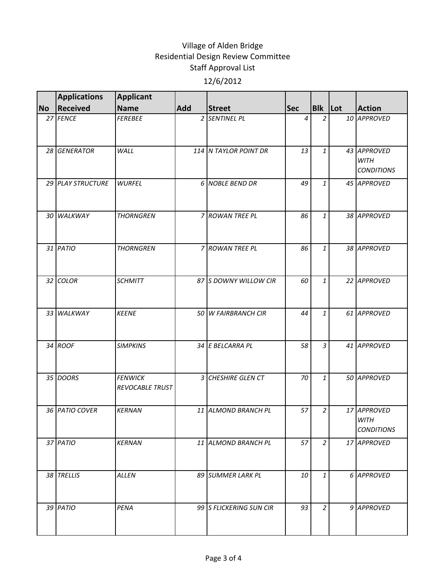|           | <b>Applications</b> | <b>Applicant</b>                  |            |                         |            |                |                                                 |
|-----------|---------------------|-----------------------------------|------------|-------------------------|------------|----------------|-------------------------------------------------|
| <b>No</b> | Received            | <b>Name</b>                       | <b>Add</b> | <b>Street</b>           | <b>Sec</b> | Blk Lot        | <b>Action</b>                                   |
|           | 27 FENCE            | <b>FEREBEE</b>                    |            | 2 SENTINEL PL           | 4          | $\overline{2}$ | 10 APPROVED                                     |
|           | 28 GENERATOR        | WALL                              |            | 114 N TAYLOR POINT DR   | 13         | $\mathbf{1}$   | 43 APPROVED<br><b>WITH</b><br><b>CONDITIONS</b> |
|           | 29 PLAY STRUCTURE   | <b>WURFEL</b>                     |            | 6 NOBLE BEND DR         | 49         | $\mathbf{1}$   | 45 APPROVED                                     |
|           | 30 WALKWAY          | <b>THORNGREN</b>                  |            | 7 ROWAN TREE PL         | 86         | $\mathbf{1}$   | 38 APPROVED                                     |
|           | 31 PATIO            | <b>THORNGREN</b>                  |            | 7 ROWAN TREE PL         | 86         | $\mathbf{1}$   | 38 APPROVED                                     |
|           | 32 COLOR            | <b>SCHMITT</b>                    |            | 87 S DOWNY WILLOW CIR   | 60         | $\mathbf{1}$   | 22 APPROVED                                     |
|           | 33 WALKWAY          | <b>KEENE</b>                      |            | 50 W FAIRBRANCH CIR     | 44         | $\mathbf{1}$   | 61 APPROVED                                     |
|           | 34 ROOF             | <b>SIMPKINS</b>                   |            | 34 E BELCARRA PL        | 58         | $\mathfrak{Z}$ | 41 APPROVED                                     |
|           | 35 DOORS            | <b>FENWICK</b><br>REVOCABLE TRUST |            | 3 CHESHIRE GLEN CT      | 70         | $\mathbf{1}$   | 50 APPROVED                                     |
|           | 36 PATIO COVER      | <b>KERNAN</b>                     |            | 11 ALMOND BRANCH PL     | 57         | $\overline{2}$ | 17 APPROVED<br><b>WITH</b><br><b>CONDITIONS</b> |
|           | 37 PATIO            | <b>KERNAN</b>                     |            | 11 ALMOND BRANCH PL     | 57         | $\overline{a}$ | 17 APPROVED                                     |
|           | 38 TRELLIS          | <b>ALLEN</b>                      |            | 89 SUMMER LARK PL       | 10         | $\mathbf{1}$   | 6 APPROVED                                      |
|           | 39 PATIO            | PENA                              |            | 99 S FLICKERING SUN CIR | 93         | $\overline{a}$ | 9 APPROVED                                      |